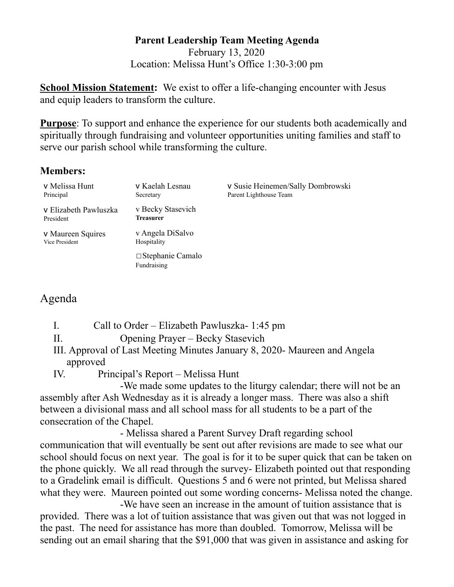## **Parent Leadership Team Meeting Agenda**  February 13, 2020 Location: Melissa Hunt's Office 1:30-3:00 pm

**School Mission Statement:** We exist to offer a life-changing encounter with Jesus and equip leaders to transform the culture.

**Purpose**: To support and enhance the experience for our students both academically and spiritually through fundraising and volunteer opportunities uniting families and staff to serve our parish school while transforming the culture.

## **Members:**

| v Melissa Hunt<br>Principal         | v Kaelah Lesnau<br>Secretary           | v Susie Heinemen/Sally Dombrowski<br>Parent Lighthouse Team |
|-------------------------------------|----------------------------------------|-------------------------------------------------------------|
| v Elizabeth Pawluszka<br>President  | v Becky Stasevich<br><b>Treasurer</b>  |                                                             |
| v Maureen Squires<br>Vice President | v Angela DiSalvo<br>Hospitality        |                                                             |
|                                     | $\Box$ Stephanie Camalo<br>Fundraising |                                                             |

## Agenda

I. Call to Order – Elizabeth Pawluszka- 1:45 pm

II. Opening Prayer – Becky Stasevich

III. Approval of Last Meeting Minutes January 8, 2020- Maureen and Angela approved

IV. Principal's Report – Melissa Hunt

 -We made some updates to the liturgy calendar; there will not be an assembly after Ash Wednesday as it is already a longer mass. There was also a shift between a divisional mass and all school mass for all students to be a part of the consecration of the Chapel.

 - Melissa shared a Parent Survey Draft regarding school communication that will eventually be sent out after revisions are made to see what our school should focus on next year. The goal is for it to be super quick that can be taken on the phone quickly. We all read through the survey- Elizabeth pointed out that responding to a Gradelink email is difficult. Questions 5 and 6 were not printed, but Melissa shared what they were. Maureen pointed out some wording concerns- Melissa noted the change.

 -We have seen an increase in the amount of tuition assistance that is provided. There was a lot of tuition assistance that was given out that was not logged in the past. The need for assistance has more than doubled. Tomorrow, Melissa will be sending out an email sharing that the \$91,000 that was given in assistance and asking for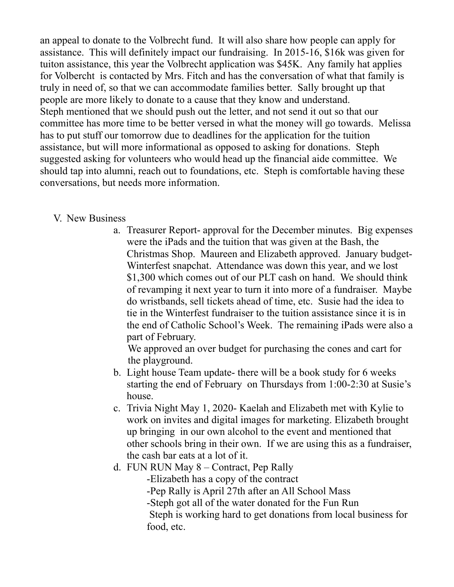an appeal to donate to the Volbrecht fund. It will also share how people can apply for assistance. This will definitely impact our fundraising. In 2015-16, \$16k was given for tuiton assistance, this year the Volbrecht application was \$45K. Any family hat applies for Volbercht is contacted by Mrs. Fitch and has the conversation of what that family is truly in need of, so that we can accommodate families better. Sally brought up that people are more likely to donate to a cause that they know and understand. Steph mentioned that we should push out the letter, and not send it out so that our committee has more time to be better versed in what the money will go towards. Melissa has to put stuff our tomorrow due to deadlines for the application for the tuition assistance, but will more informational as opposed to asking for donations. Steph suggested asking for volunteers who would head up the financial aide committee. We should tap into alumni, reach out to foundations, etc. Steph is comfortable having these conversations, but needs more information.

## V. New Business

a. Treasurer Report- approval for the December minutes. Big expenses were the iPads and the tuition that was given at the Bash, the Christmas Shop. Maureen and Elizabeth approved. January budget-Winterfest snapchat. Attendance was down this year, and we lost \$1,300 which comes out of our PLT cash on hand. We should think of revamping it next year to turn it into more of a fundraiser. Maybe do wristbands, sell tickets ahead of time, etc. Susie had the idea to tie in the Winterfest fundraiser to the tuition assistance since it is in the end of Catholic School's Week. The remaining iPads were also a part of February.

 We approved an over budget for purchasing the cones and cart for the playground.

- b. Light house Team update- there will be a book study for 6 weeks starting the end of February on Thursdays from 1:00-2:30 at Susie's house.
- c. Trivia Night May 1, 2020- Kaelah and Elizabeth met with Kylie to work on invites and digital images for marketing. Elizabeth brought up bringing in our own alcohol to the event and mentioned that other schools bring in their own. If we are using this as a fundraiser, the cash bar eats at a lot of it.
- d. FUN RUN May 8 Contract, Pep Rally
	- -Elizabeth has a copy of the contract
	- -Pep Rally is April 27th after an All School Mass
	- -Steph got all of the water donated for the Fun Run
	- Steph is working hard to get donations from local business for food, etc.